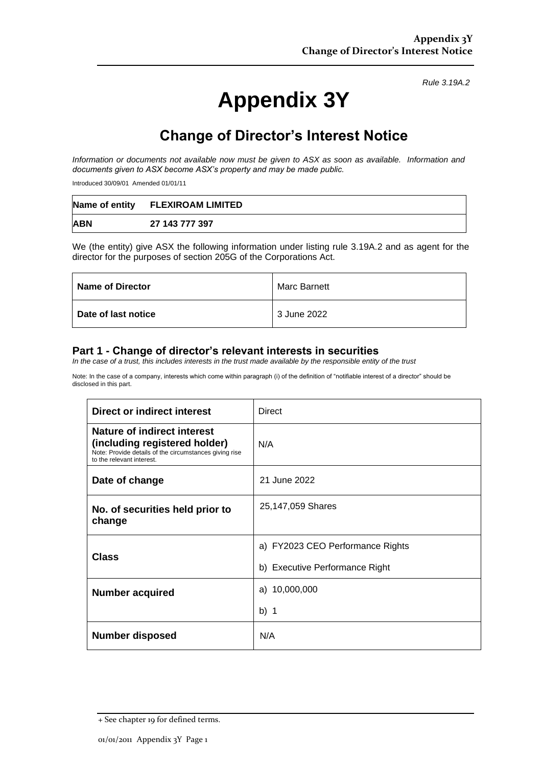*Rule 3.19A.2*

# **Appendix 3Y**

# **Change of Director's Interest Notice**

*Information or documents not available now must be given to ASX as soon as available. Information and documents given to ASX become ASX's property and may be made public.*

Introduced 30/09/01 Amended 01/01/11

|            | Name of entity FLEXIROAM LIMITED |
|------------|----------------------------------|
| <b>ABN</b> | 27 143 777 397                   |

We (the entity) give ASX the following information under listing rule 3.19A.2 and as agent for the director for the purposes of section 205G of the Corporations Act.

| <b>Name of Director</b> | Marc Barnett |
|-------------------------|--------------|
| Date of last notice     | 3 June 2022  |

#### **Part 1 - Change of director's relevant interests in securities**

*In the case of a trust, this includes interests in the trust made available by the responsible entity of the trust*

Note: In the case of a company, interests which come within paragraph (i) of the definition of "notifiable interest of a director" should be disclosed in this part.

| Direct or indirect interest                                                                                                                         | Direct                           |
|-----------------------------------------------------------------------------------------------------------------------------------------------------|----------------------------------|
| Nature of indirect interest<br>(including registered holder)<br>Note: Provide details of the circumstances giving rise<br>to the relevant interest. | N/A                              |
| Date of change                                                                                                                                      | 21 June 2022                     |
| No. of securities held prior to<br>change                                                                                                           | 25,147,059 Shares                |
| <b>Class</b>                                                                                                                                        | a) FY2023 CEO Performance Rights |
|                                                                                                                                                     | b) Executive Performance Right   |
| <b>Number acquired</b>                                                                                                                              | a) 10,000,000                    |
|                                                                                                                                                     | b) $1$                           |
| <b>Number disposed</b>                                                                                                                              | N/A                              |

<sup>+</sup> See chapter 19 for defined terms.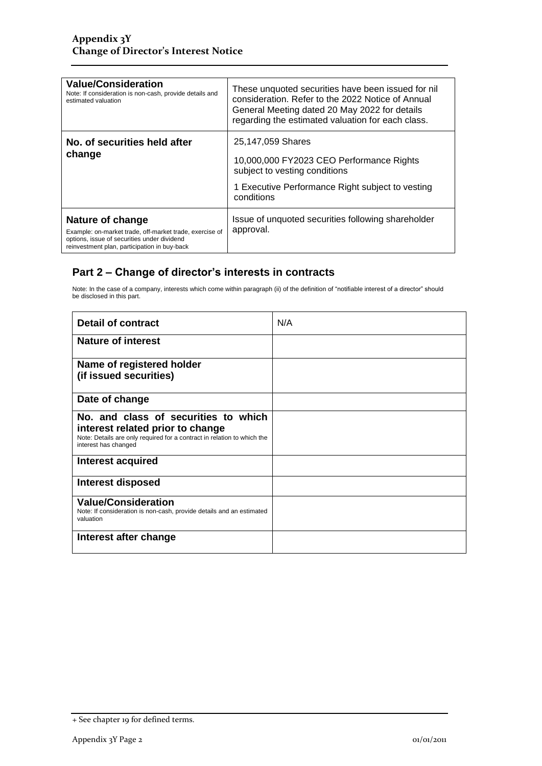| <b>Value/Consideration</b><br>Note: If consideration is non-cash, provide details and<br>estimated valuation                                                               | These unquoted securities have been issued for nil<br>consideration. Refer to the 2022 Notice of Annual<br>General Meeting dated 20 May 2022 for details<br>regarding the estimated valuation for each class. |
|----------------------------------------------------------------------------------------------------------------------------------------------------------------------------|---------------------------------------------------------------------------------------------------------------------------------------------------------------------------------------------------------------|
| No. of securities held after<br>change                                                                                                                                     | 25,147,059 Shares<br>10,000,000 FY2023 CEO Performance Rights<br>subject to vesting conditions<br>1 Executive Performance Right subject to vesting<br>conditions                                              |
| Nature of change<br>Example: on-market trade, off-market trade, exercise of<br>options, issue of securities under dividend<br>reinvestment plan, participation in buy-back | Issue of unquoted securities following shareholder<br>approval.                                                                                                                                               |

### **Part 2 – Change of director's interests in contracts**

Note: In the case of a company, interests which come within paragraph (ii) of the definition of "notifiable interest of a director" should be disclosed in this part.

| <b>Detail of contract</b>                                                                                                                                                   | N/A |
|-----------------------------------------------------------------------------------------------------------------------------------------------------------------------------|-----|
| Nature of interest                                                                                                                                                          |     |
| Name of registered holder<br>(if issued securities)                                                                                                                         |     |
| Date of change                                                                                                                                                              |     |
| No. and class of securities to which<br>interest related prior to change<br>Note: Details are only required for a contract in relation to which the<br>interest has changed |     |
| Interest acquired                                                                                                                                                           |     |
| Interest disposed                                                                                                                                                           |     |
| <b>Value/Consideration</b><br>Note: If consideration is non-cash, provide details and an estimated<br>valuation                                                             |     |
| Interest after change                                                                                                                                                       |     |

<sup>+</sup> See chapter 19 for defined terms.